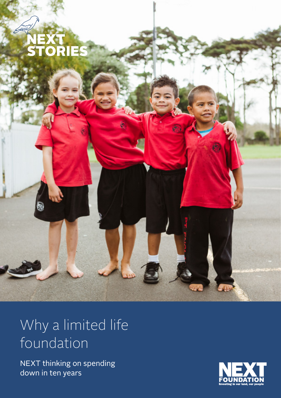

### Why a limited life foundation

NEXT thinking on spending down in ten years

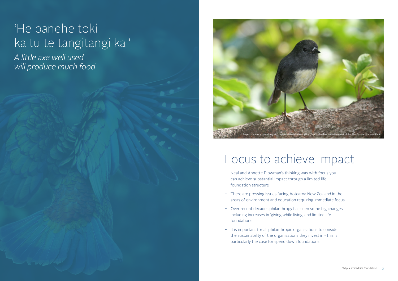- Neal and Annette Plowman's thinking was with focus you can achieve substantial impact through a limited life foundation structure
- There are pressing issues facing Aotearoa New Zealand in the areas of environment and education requiring immediate focus
- Over recent decades philanthropy has seen some big changes, including increases in 'giving while living' and limited life foundations
- $\overline{\phantom{a}}$  It is important for all philanthropic organisations to consider the sustainability of the organisations they invest in - this is particularly the case for spend down foundations

## 'He panehe toki ka tu te tangitangi kai'

*A little axe well used will produce much food*

## Focus to achieve impact

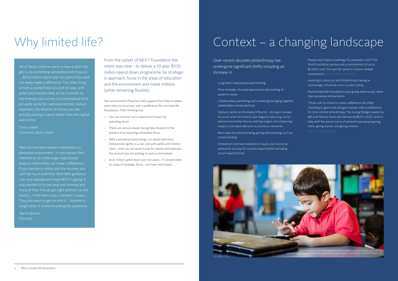Over recent decades philanthropy has undergone significant shifts including an increase in

- Long-term relationships and thinking
- More strategic, focused approaches and tackling of systemic issues
- Collaboration, partnering and convening (bringing together stakeholders across sectors)
- Venture capital and business influence driving increased focus on what the need is; due diligence; planning; social and environmental returns (setting targets and measuring impact); and value add such as access to networks
- New ways of communicating, giving and investing, such as crowd-funding
- Innovations and new solutions to issues, such as social enterprise and pay for success experiments (including social impact bonds)
- Mission and impact investing. For example in 2017 the Ford Foundation announced a commitment of up to \$1 billion over the next ten years in mission-related investments *www.fordfoundation.org*
- Investing in advocacy and philanthropy having an increasingly influential voice in public policy
- More limited life foundations and 'giving while living' rather than perpetual endowments
- Those with an intent to make a difference are often choosing to give more and give sooner, with a preference for time-limited philanthropy. The Giving Pledge created by Bill and Melinda Gates and Warren Buffett in 2010, aims to help shift the social norms of philanthropy toward giving more, giving sooner, and giving smarter

'All of Neal's instincts were to have a short life, get in, do something substantial and move on … \$100 million spent over ten years if focused can really make a difference. The other thing is from a purely financial point of view, with yields and interest rates at the moment, by the time you put money into a perpetual fund, set aside some for capital protection, deduct expenses, the amount of money you are actually putting to work rather than the capital sum is tiny.'

Chris Liddell FOUNDING NEXT CHAIR

'Neal and Annette weren't interested in a perpetual endowment … It was always their intention to do a few large inspirational projects where they can make a difference … If you take \$100 million and the income, you can't do much with that. With Bill's guidance I am very pleased with how NEXT is going. It was wonderful to see Neal and Annette and many of their friends get right behind it at the launch … I find them such a fantastic couple … They just want to get on with it … Annette is tough when it comes to asking the questions.'

 Barrie Brown TRUSTEE

From the outset of NEXT Foundation the intent was clear - to deliver a 10-year \$100 million spend down programme, be strategic in approach, focus in the areas of education and the environment and invest millions (while remaining flexible).

Neal and Annette Plowman with support from their trustees were clear on structure, with a preference for a limited life foundation. Their thinking was

- You can achieve more substantial impact by spending down
- There are serious issues facing New Zealand at the present time requiring immediate focus
- With a perpetual fund energy can dispel with time; institutional rigidity is a risk; and with yields and interest rates - once you set aside funds for capital and expenses the amount you are putting to work is diminished
- \$100 million spent down over ten years if concentrated on areas of strategic focus - can have real impact

# Why limited life? Context – a changing landscape

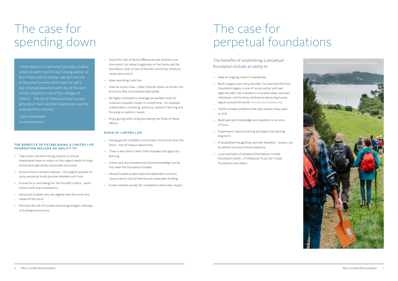The benefits of establishing a perpetual foundation include an ability to

- Have an ongoing impact in perpetuity
- Build a legacy over many decades. For example the Ford Foundation legacy is one of 'social justice' and over eight decades 'has invested in innovative ideas, visionary individuals, and frontline institutions advancing human dignity around the world' *www.fordfoundation.org*
- Tackle complex problems that may require many years to shift
- Build specialist knowledge and reputation in an area of focus
- Experiment, capture learning and apply that learning long term
- If established thoughtfully and with flexibility mission can be refined to ensure future relevance
- Local examples of perpetual foundations include Foundation North, J R McKenzie Trust, the Tindall Foundation and others



## The case for perpetual foundations

# The case for spending down

'I have heard of a fund which provides a baked potato at each meal for each young woman at Bryn Mawr, and of another, dating from one of the great families, which pays for half a loaf of bread deposited each day at the door of each student in one of the colleges of Oxford ... The list of these precisely focused gifts which have lost their usefulness could be extended into volumes.'

Julius Rosenwald *www.wikipedia.org*

#### **THE BENEFITS OF ESTABLISHING A LIMITED LIFE FOUNDATION INCLUDE AN ABILITY TO**

- Take action and have strong impetus to ensure investments have an impact on the urgent needs of today and produce genuinely sustainable outcomes
- Ensure mission remains relevant the original purpose of many perpetual funds become obsolete with time
- Ensure focus and energy for the founder's intent avoid mission drift and complacency
- Hand-pick trustees who are aligned with the vision and values of the donor
- Minimise the risk of trustees becoming arrogant, lethargic or building bureaucracy
- Avoid the risks of family differences and divisions over time which can impact negatively on the family and the foundation; and/ or loss of founder and family influence, values and control
- Keep operating costs low
- Have an impact now rather than be reliant on stocks, the economy, fees and unpredictable yields
- Be highly motivated to leverage all available tools for maximum possible impact in a timeframe - for example collaboration, convening, advocacy, research, learning and focusing on systemic issues
- Enjoy giving while living and seeing the fruits of these efforts

#### **RISKS OF LIMITED LIFE**

- Having gained credibility and traction, it's time to close the doors - loss of impact opportunity
- There is less time to learn from mistakes and apply this learning
- Unless well documented and shared, knowledge can be lost when the foundation sunsets
- Heavily funded projects become dependent and face closure due to lack of diverse and sustainable funding
- Funds invested quickly for completion rather than impact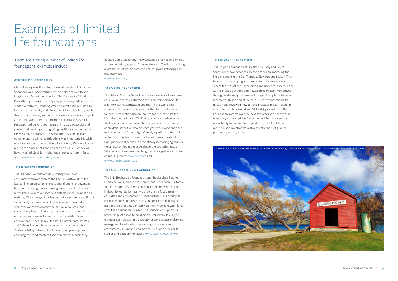# Examples of limited life foundations

#### There are a rising number of limited life foundations, examples include:

#### **Atlantic Philanthropies**

Chuck Feeney was the entrepreneurial founder of Duty Free Shoppers, was uncomfortable with displays of wealth and in 1984 transferred the majority of his fortune to Atlantic Philanthropy. His example of 'giving while living' influenced the world's wealthiest, including Warren Buffet and the Gates. He insisted on anonymity until the scale of his philanthropy made this too hard. Feeney supported numerous large scale projects around the world - from Vietnam to Ireland and Australia. He supported universities; research into cardiovascular and cancer; and building and upgrading health facilities in Vietnam. He was actively involved in his philanthropy and believed government matching contributions was important. His wish was to leave the planet a better place asking, 'Why would you reduce the amount of good you can do?' Chuck Feeney will have invested \$8 billion in charitable projects from 1982 to 2020 *www.atlanticphilanthropies.org* 

#### **The Brainerd Foundation**

The Brainerd Foundation has a strategic focus on environmental protection of the Pacific Northwest United States. The organisation plans to spend out its endowment by 2020, believing this will have 'greater impact in the nearterm'. Paul Brainerd outlines his thinking on the Foundation's website, 'The ecological challenges before us are as significant as humanity has ever faced. I believe we must each do whatever we can to protect the natural resources that sustain this planet … There are many ways to accomplish this, of course, and mine is to see that the Foundation's entire endowment is spent in my lifetime.' Environmentalists Paul and Debbie Brainerd have a connection to Aotearoa New Zealand - falling in love with Glenorchy 20 years ago and choosing to spend much of their time there. In 2018 they

opened Camp Glenorchy - New Zealand's first net zero energy accommodation, as part of the Headwaters. This is an inspiring revitalisation of classic camping, cabins, group gathering and retail services *www.brainerd.org* 

**The Gates Foundation** 

The Bill and Melinda Gates Foundation believes 'all lives have equal value' and has a strategic focus on reducing inequity. It is the wealthiest private foundation in the world and intends to terminate 20 years after the death of its second founder, demonstrating a preference for sunset or limited life philanthropy. In 2015 TIME Magazine reported on what the Foundation had achieved fifteen years on, 'The number of children under five who die each year worldwide has been nearly cut in half, from a high of nearly 13 million to 6.5 million today. Polio has been chased to the very brink of extinction … Drought-tolerant seeds are dramatically increasing agricultural yields; economies in the once-desperate countries in sub-Saharan Africa are now matching the developed world in rate of annual growth' *www.time.com* and *www.gatesfoundation.org* 

#### **The S.D.Bechtel, Jr. Foundation**

The S. D. Bechtel, Jr. Foundation and the Stephen Bechtel Fund 'envision a productive, vibrant, and sustainable California that is a model of success and a source of innovation'. This limited life foundation has two programme focus areas – education and environment. It sees partner sustainability as important and supports capacity and resilience building of partners, 'so that they can carry on their important work long after the Foundation's sunset. The Foundation supports a broad range of capacity-building requests from its current grantees such as strategy development and scenario planning, management and leadership training, communication assessments, business planning, and fundraising feasibility studies and development plans' *www.sdbjrfoundation.org* 

#### **The Stupski Foundation**

The Stupski Foundation established by Larry and Joyce Stupski over two decades ago has a focus on improving the lives of people in the San Francisco Bay area and Hawaii. They believe in dreaming big and have a vision to 'create a reality where the lives of the underserved and under-resourced in the San Francisco Bay Area and Hawaii are significantly improved through addressing the issues of hunger, life options for lowincome youth and end of life care.' It recently redefined it's mission and reviewed how to have greatest impact, resulting in an intention to spend down 'at least \$300 million of the Foundation's assets over the next ten years. We believe that operating as a limited-life foundation will be a tremendous opportunity to commit to longer-term, more flexible, and more holistic investments with a select cohort of granteepartners' *www.stupski.org* 

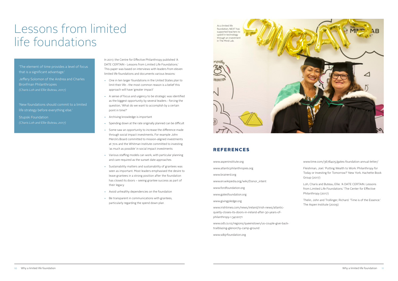### Lessons from limited life foundations

'The element of time provides a level of focus that is a significant advantage.' Jeffery Solomon of the Andrea and Charles

Bronfman Philanthropies *(Charis Loh and Ellie Buteau, 2017)*

'New foundations should commit to a limited life strategy before everything else.'

Stupski Foundation *(Charis Loh and Ellie Buteau, 2017)* In 2017, the Centre for Effective Philanthropy published 'A DATE CERTAIN - Lessons from Limited Life Foundations.' This paper was based on interviews with leaders from eleven limited life foundations and documents various lessons:

- One in ten larger foundations in the United States plan to limit their life - the most common reason is a belief this approach will have 'greater impact'
- A sense of focus and urgency to be strategic was identified as the biggest opportunity by several leaders - forcing the question, 'What do we want to accomplish by a certain point in time?'
- Archiving knowledge is important
- Spending down at the rate originally planned can be difficult
- Some saw an opportunity to increase the difference made through social impact investments. For example John Merck's Board committed to mission-aligned investments at 70% and the Whitman Institute committed to investing 'as much as possible' in social impact investments
- Various staffing models can work, with particular planning and care required as the sunset date approaches
- Sustainability matters and sustainability of grantees was seen as important. Most leaders emphasised the desire to leave grantees in a strong position after the foundation has closed its doors – seeing grantee success as part of their legacy
- Avoid unhealthy dependencies on the foundation
- Be transparent in communications with grantees, particularly regarding the spend down plan

www.aspeninstitute.org www.atlanticphilanthropies.org www.brainerd.org www.en.wikipedia.org/wiki/Donor\_intent www.fordfoundation.org www.gatesfoundation.org www.givingpledge.org

www.irishtimes.com/news/ireland/irish-news/atlanticquietly-closes-its-doors-in-ireland-after-30-years-ofphilanthropy-1.3412071

www.odt.co.nz/regions/queenstown/us-couple-give-backtrailblazing-glenorchy-camp-ground

www.sdbjrfoundation.org

### REFERENCES

www.time.com/3678405/gates-foundation-annual-letter/

Fleishman, Joel. 'Putting Wealth to Work: Philanthropy for Today or Investing for Tomorrow?' New York. Hachette Book Group (2017)

Loh, Charis and Buteau, Ellie. 'A DATE CERTAIN. Lessons from Limited Life Foundations.' The Center for Effective Philanthropy (2017)

Thelin, John and Trollinger, Richard. 'Time is of the Essence.' The Aspen Institute (2009)

supported teachers to